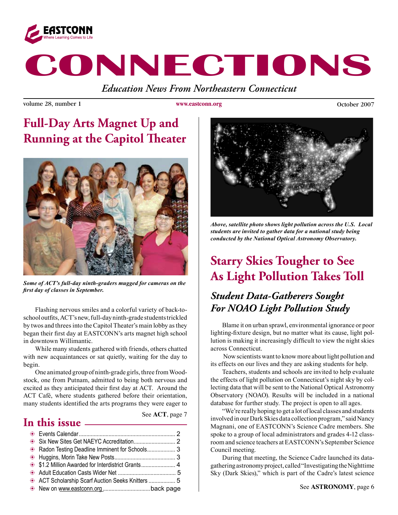

# **CONNECTIONS**

*Education News From Northeastern Connecticut*

volume 28, number 1 **www.eastconn.org Community** October 2007

**www.eastconn.org**

## **Full-Day Arts Magnet Up and Running at the Capitol Theater**



*Some of ACT's full-day ninth-graders mugged for cameras on the frst day of classes in September.*

Flashing nervous smiles and a colorful variety of back-toschool outfits, ACT's new, full-day ninth-grade students trickled by twos and threes into the Capitol Theater's main lobby as they began their frst day at EASTCONN's arts magnet high school in downtown Willimantic.

While many students gathered with friends, others chatted with new acquaintances or sat quietly, waiting for the day to begin.

One animated group of ninth-grade girls, three from Woodstock, one from Putnam, admitted to being both nervous and excited as they anticipated their frst day at ACT. Around the ACT Café, where students gathered before their orientation, many students identifed the arts programs they were eager to

### **In this issue**

See **ACT**, page 7

| Radon Testing Deadline Imminent for Schools 3 |  |
|-----------------------------------------------|--|
|                                               |  |
|                                               |  |
|                                               |  |
|                                               |  |
|                                               |  |



*Above, satellite photo shows light pollution across the U.S. Local students are invited to gather data for a national study being conducted by the National Optical Astronomy Observatory.* 

# **Starry Skies Tougher to See As Light Pollution Takes Toll**

### *Student Data-Gatherers Sought For NOAO Light Pollution Study*

 Blame it on urban sprawl, environmental ignorance or poor lighting-fxture design, but no matter what its cause, light pollution is making it increasingly diffcult to view the night skies across Connecticut.

 Now scientists want to know more about light pollution and its effects on our lives and they are asking students for help.

Teachers, students and schools are invited to help evaluate the effects of light pollution on Connecticut's night sky by collecting data that will be sent to the National Optical Astronomy Observatory (NOAO). Results will be included in a national database for further study. The project is open to all ages.

"We're really hoping to get a lot of local classes and students involved in our Dark Skies data collection program," said Nancy Magnani, one of EASTCONN's Science Cadre members. She spoke to a group of local administrators and grades 4-12 classroom and science teachers at EASTCONN's September Science Council meeting.

During that meeting, the Science Cadre launched its datagathering astronomy project, called "Investigating the Nighttime Sky (Dark Skies)," which is part of the Cadre's latest science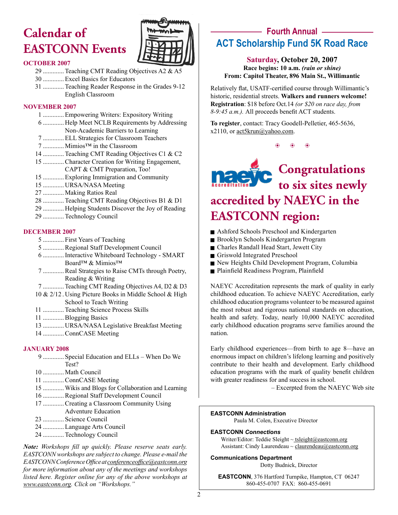# **Calendar of EASTCONN Events**



### **OCTOBER 2007**

29 .............Teaching CMT Reading Objectives A2 & A5 30 .............Excel Basics for Educators 31 .............Teaching Reader Response in the Grades 9-12

English Classroom

### **NOVEMBER 2007**

- 1 .............Empowering Writers: Expository Writing
- 6 ............. Help Meet NCLB Requirements by Addressing Non-Academic Barriers to Learning
- 7 .............ELL Strategies for Classroom Teachers
- 7 ............. Mimios™ in the Classroom
- 14 .............Teaching CMT Reading Objectives C1 & C2
- 15 .............Character Creation for Writing Engagement,
- CAPT & CMT Preparation, Too!
- 15 .............Exploring Immigration and Community
- 15 ............. URSA/NASA Meeting
- 27 ............. Making Ratios Real
- 28 .............Teaching CMT Reading Objectives B1 & D1
- 29 ............. Helping Students Discover the Joy of Reading
- 29 .............Technology Council

### **DECEMBER 2007**

- 5 ............. First Years of Teaching
- 5 .............Regional Staff Development Council
- 6 .............Interactive Whiteboard Technology SMART Board™ & Mimios™
- 7 .............Real Strategies to Raise CMTs through Poetry, Reading & Writing
- 7 ............. Teaching CMT Reading Objectives A4, D2 & D3
- 10 & 2/12 . Using Picture Books in Middle School & High School to Teach Writing
- 11 .............Teaching Science Process Skills
- 11 .............Blogging Basics
- 13 ............. URSA/NASA Legislative Breakfast Meeting
- 14 .............ConnCASE Meeting

### **JANUARY 2008**

- 9 ............. Special Education and ELLs When Do We Test?
- 10 ............. Math Council
- 11 .............ConnCASE Meeting
- 15 .............Wikis and Blogs for Collaboration and Learning
- 16 .............Regional Staff Development Council
- 17 .............Creating a Classroom Community Using Adventure Education
- 23 ............. Science Council
- 24 .............Language Arts Council
- 24 .............Technology Council

*Note: Workshops fll up quickly. Please reserve seats early. EASTCONN workshops are subject to change. Please e-mail the EASTCONN Conference Offce at conferenceoffce@eastconn.org for more information about any of the meetings and workshops listed here. Register online for any of the above workshops at www.eastconn.org. Click on "Workshops."*

### **Fourth Annual ACT Scholarship Fund 5K Road Race**

### **Saturday, October 20, 2007 Race begins: 10 a.m.** *(rain or shine)* **From: Capitol Theater, 896 Main St., Willimantic**

Relatively fat, USATF-certifed course through Willimantic's historic, residential streets. **Walkers and runners welcome! Registration**: \$18 before Oct.14 *(or \$20 on race day, from 8-9:45 a.m.).* All proceeds beneft ACT students.

**To register**, contact: Tracy Goodell-Pelletier, 465-5636, x2110, or act5krun@yahoo.com.

 $\circledast$   $\circledast$   $\circledast$ 



# **accredited by NAEYC in the EASTCONN region:**

- Ashford Schools Preschool and Kindergarten
- Brooklyn Schools Kindergarten Program
- <sup>g</sup> Charles Randall Head Start, Jewett City
- Griswold Integrated Preschool
- New Heights Child Development Program, Columbia
- Plainfield Readiness Program, Plainfield

NAEYC Accreditation represents the mark of quality in early childhood education. To achieve NAEYC Accreditation, early childhood education programs volunteer to be measured against the most robust and rigorous national standards on education, health and safety. Today, nearly 10,000 NAEYC accredited early childhood education programs serve families around the nation.

Early childhood experiences—from birth to age 8—have an enormous impact on children's lifelong learning and positively contribute to their health and development. Early childhood education programs with the mark of quality beneft children with greater readiness for and success in school.

– Excerpted from the NAEYC Web site

#### **EASTCONN Administration**

Paula M. Colen, Executive Director

### **EASTCONN** *Connections*

Writer/Editor: Teddie Sleight ~ tsleight@eastconn.org Assistant: Cindy Laurendeau  $\sim$  claurendeau $@$ eastconn.org

### **Communications Department**

Dotty Budnick, Director

**EASTCONN**, 376 Hartford Turnpike, Hampton, CT 06247 860-455-0707 FAX: 860-455-0691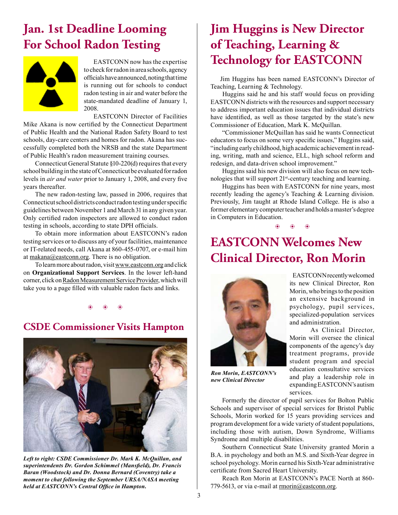### **Jan. 1st Deadline Looming For School Radon Testing**



EASTCONN now has the expertise to check for radon in area schools, agency offcials have announced, noting that time is running out for schools to conduct radon testing in air and water before the state-mandated deadline of January 1, 2008.

EASTCONN Director of Facilities

Mike Akana is now certifed by the Connecticut Department of Public Health and the National Radon Safety Board to test schools, day-care centers and homes for radon. Akana has successfully completed both the NRSB and the state Department of Public Health's radon measurement training courses.

Connecticut General Statute §10-220(d) requires that every school building in the state of Connecticut be evaluated for radon levels in *air and water* prior to January 1, 2008, and every fve years thereafter.

The new radon-testing law, passed in 2006, requires that Connecticut school districts conduct radon testing under specifc guidelines between November 1 and March 31 in any given year. Only certifed radon inspectors are allowed to conduct radon testing in schools, according to state DPH officials.

To obtain more information about EASTCONN's radon testing services or to discuss any of your facilities, maintenance or IT-related needs, call Akana at 860-455-0707, or e-mail him at makana@eastconn.org. There is no obligation.

To learn more about radon, visit www.eastconn.org and click on **Organizational Support Services**. In the lower left-hand corner, click on Radon Measurement Service Provider, which will take you to a page flled with valuable radon facts and links.

 $\circledast$   $\circledast$   $\circledast$ 

### **CSDE Commissioner Visits Hampton**



*Left to right: CSDE Commissioner Dr. Mark K. McQuillan, and superintendents Dr. Gordon Schimmel (Mansfeld), Dr. Francis Baran (Woodstock) and Dr. Donna Bernard (Coventry) take a moment to chat following the September URSA/NASA meeting held at EASTCONN's Central Offce in Hampton.*

# **Jim Huggins is New Director of Teaching, Learning & Technology for EASTCONN**

 Jim Huggins has been named EASTCONN's Director of Teaching, Learning & Technology.

 Huggins said he and his staff would focus on providing EASTCONN districts with the resources and support necessary to address important education issues that individual districts have identifed, as well as those targeted by the state's new Commissioner of Education, Mark K. McQuillan.

"Commissioner McQuillan has said he wants Connecticut educators to focus on some very specifc issues," Huggins said, "including early childhood, high academic achievement in reading, writing, math and science, ELL, high school reform and redesign, and data-driven school improvement."

Huggins said his new division will also focus on new technologies that will support 21<sup>st</sup>-century teaching and learning.

Huggins has been with EASTCONN for nine years, most recently leading the agency's Teaching & Learning division. Previously, Jim taught at Rhode Island College. He is also a former elementary computer teacher and holds a master's degree in Computers in Education.

 $\circledast$   $\circledast$   $\circledast$ 

### **EASTCONN Welcomes New Clinical Director, Ron Morin**



*Ron Morin, EASTCONN's new Clinical Director*

Formerly the director of pupil services for Bolton Public Schools and supervisor of special services for Bristol Public Schools, Morin worked for 15 years providing services and program development for a wide variety of student populations, including those with autism, Down Syndrome, Williams Syndrome and multiple disabilities.

Southern Connecticut State University granted Morin a B.A. in psychology and both an M.S. and Sixth-Year degree in school psychology. Morin earned his Sixth-Year administrative certifcate from Sacred Heart University.

Reach Ron Morin at EASTCONN's PACE North at 860- 779-5613, or via e-mail at rmorin@eastconn.org.

an extensive background in psychology, pupil services, specialized-population services and administration. As Clinical Director, Morin will oversee the clinical components of the agency's day treatment programs, provide

 EASTCONN recently welcomed its new Clinical Director, Ron Morin, who brings to the position

student program and special education consultative services and play a leadership role in expanding EASTCONN's autism services.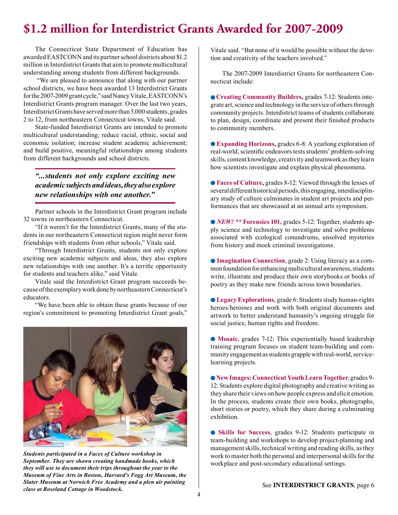### **\$1.2 million for Interdistrict Grants Awarded for 2007-2009**

The Connecticut State Department of Education has awarded EASTCONN and its partner school districts about \$1.2 million in Interdistrict Grants that aim to promote multicultural understanding among students from different backgrounds.

 "We are pleased to announce that along with our partner school districts, we have been awarded 13 Interdistrict Grants for the 2007-2009 grant cycle," said Nancy Vitale, EASTCONN's Interdistrict Grants program manager. Over the last two years, Interdistrict Grants have served more than 5,000 students, grades 2 to 12, from northeastern Connecticut towns, Vitale said.

State-funded Interdistrict Grants are intended to promote multicultural understanding; reduce racial, ethnic, social and economic isolation; increase student academic achievement; and build positive, meaningful relationships among students from different backgrounds and school districts.

### *"...students not only explore exciting new academic subjects and ideas, they also explore new relationships with one another."*

Partner schools in the Interdistrict Grant program include 32 towns in northeastern Connecticut.

"If it weren't for the Interdistrict Grants, many of the students in our northeastern Connecticut region might never form friendships with students from other schools," Vitale said.

"Through Interdistrict Grants, students not only explore exciting new academic subjects and ideas, they also explore new relationships with one another. It's a terrifc opportunity for students and teachers alike," said Vitale.

Vitale said the Interdistrict Grant program succeeds because of the exemplary work done by northeastern Connecticut's educators.

"We have been able to obtain these grants because of our region's commitment to promoting Interdistrict Grant goals,"



*Students participated in a Faces of Culture workshop in September. They are shown creating handmade books, which they will use to document their trips throughout the year to the Museum of Fine Arts in Boston, Harvard's Fogg Art Museum, the Slater Museum at Norwich Free Academy and a plen air painting class at Roseland Cottage in Woodstock.*

Vitale said. "But none of it would be possible without the devotion and creativity of the teachers involved."

The 2007-2009 Interdistrict Grants for northeastern Connecticut include:

 **Creating Community Builders,** grades 7-12: Students integrate art, science and technology in the service of others through community projects. Interdistrict teams of students collaborate to plan, design, coordinate and present their fnished products to community members.

**Expanding Horizons,** grades 6-8: A yearlong exploration of real-world, scientifc endeavors tests students' problem-solving skills, content knowledge, creativity and teamwork as they learn how scientists investigate and explain physical phenomena.

**Faces of Culture,** grades 8-12: Viewed through the lenses of several different historical periods, this engaging, interdisciplinary study of culture culminates in student art projects and performances that are showcased at an annual arts symposium.

*NEW! \*\** **Forensics 101,** grades 5-12: Together, students apply science and technology to investigate and solve problems associated with ecological conundrums, unsolved mysteries from history and mock criminal investigations.

**Imagination Connection**, grade 2: Using literacy as a common foundation for enhancing multicultural awareness, students write, illustrate and produce their own storybooks or books of poetry as they make new friends across town boundaries.

**Legacy Explorations**, grade 6: Students study human-rights heroes/heroines and work with both original documents and artwork to better understand humanity's ongoing struggle for social justice, human rights and freedom.

**Mosaic**, grades 7-12: This experientially based leadership training program focuses on student team-building and community engagement as students grapple with real-world, servicelearning projects.

**New Images: Connecticut Youth Learn Together**, grades 9- 12: Students explore digital photography and creative writing as they share their views on how people express and elicit emotion. In the process, students create their own books, photographs, short stories or poetry, which they share during a culminating exhibition.

**Skills for Success**, grades 9-12: Students participate in team-building and workshops to develop project-planning and management skills, technical writing and reading skills, as they work to master both the personal and interpersonal skills for the workplace and post-secondary educational settings.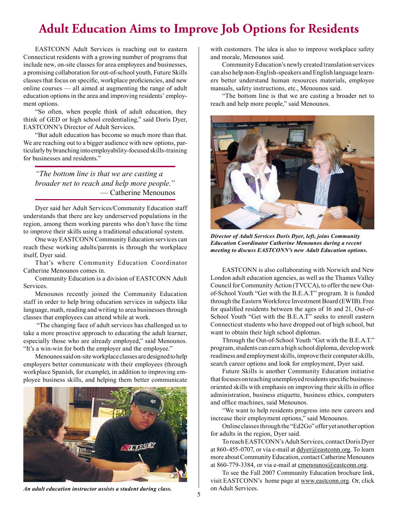### **Adult Education Aims to Improve Job Options for Residents**

EASTCONN Adult Services is reaching out to eastern Connecticut residents with a growing number of programs that include new, on-site classes for area employees and businesses, a promising collaboration for out-of-school youth, Future Skills classes that focus on specifc, workplace profciencies, and new online courses — all aimed at augmenting the range of adult education options in the area and improving residents' employment options.

"So often, when people think of adult education, they think of GED or high school credentialing," said Doris Dyer, EASTCONN's Director of Adult Services.

"But adult education has become so much more than that. We are reaching out to a bigger audience with new options, particularly by branching into employability-focused skills-training for businesses and residents."

*"The bottom line is that we are casting a broader net to reach and help more people."* — Catherine Menounos

Dyer said her Adult Services/Community Education staff understands that there are key underserved populations in the region, among them working parents who don't have the time to improve their skills using a traditional educational system.

One way EASTCONN Community Education services can reach these working adults/parents is through the workplace itself, Dyer said.

That's where Community Education Coordinator Catherine Menounos comes in.

Community Education is a division of EASTCONN Adult Services.

Menounos recently joined the Community Education staff in order to help bring education services in subjects like language, math, reading and writing to area businesses through classes that employees can attend while at work.

 "The changing face of adult services has challenged us to take a more proactive approach to educating the adult learner, especially those who are already employed," said Menounos. "It's a win-win for both the employer and the employee."

Menounos said on-site workplace classes are designed to help employers better communicate with their employees (through workplace Spanish, for example), in addition to improving employee business skills, and helping them better communicate



An adult education instructor assists a student during class. The on Adult Services.

with customers. The idea is also to improve workplace safety and morale, Menounos said.

Community Education's newly created translation services can also help non-English-speakers and English language learners better understand human resources materials, employee manuals, safety instructions, etc., Menounos said.

"The bottom line is that we are casting a broader net to reach and help more people," said Menounos.



*Director of Adult Services Doris Dyer, left, joins Community Education Coordinator Catherine Menounos during a recent meeting to discuss EASTCONN's new Adult Education options.*

EASTCONN is also collaborating with Norwich and New London adult education agencies, as well as the Thames Valley Council for Community Action (TVCCA), to offer the new Outof-School Youth "Get with the B.E.A.T" program. It is funded through the Eastern Workforce Investment Board (EWIB). Free for qualifed residents between the ages of 16 and 21, Out-of-School Youth "Get with the B.E.A.T" seeks to enroll eastern Connecticut students who have dropped out of high school, but want to obtain their high school diplomas.

Through the Out-of-School Youth "Get with the B.E.A.T." program, students can earn a high school diploma, develop work readiness and employment skills, improve their computer skills, search career options and look for employment, Dyer said.

Future Skills is another Community Education initiative that focuses on teaching unemployed residents specifc businessoriented skills with emphasis on improving their skills in office administration, business etiquette, business ethics, computers and offce machines, said Menounos.

"We want to help residents progress into new careers and increase their employment options," said Menounos.

Online classes through the "Ed2Go" offer yet another option for adults in the region, Dyer said.

To reach EASTCONN's Adult Services, contact Doris Dyer at 860-455-0707, or via e-mail at ddyer@eastconn.org. To learn more about Community Education, contact Catherine Menounos at 860-779-3384, or via e-mail at cmenounos@eastconn.org.

To see the Fall 2007 Community Education brochure link, visit EASTCONN's home page at www.eastconn.org. Or, click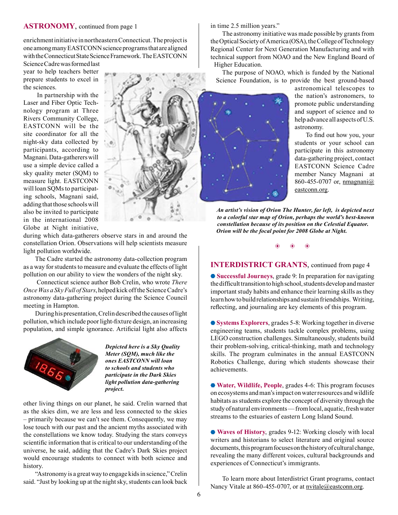#### **ASTRONOMY**, continued from page 1

enrichment initiative in northeastern Connecticut. The project is one among many EASTCONN science programs that are aligned with the Connecticut State Science Framework. The EASTCONN

Science Cadre was formed last year to help teachers better prepare students to excel in the sciences.

 In partnership with the Laser and Fiber Optic Technology program at Three Rivers Community College, EASTCONN will be the site coordinator for all the night-sky data collected by participants, according to Magnani. Data-gatherers will use a simple device called a sky quality meter (SQM) to measure light. EASTCONN will loan SQMs to participating schools, Magnani said, adding that those schools will also be invited to participate in the international 2008 Globe at Night initiative,



during which data-gatherers observe stars in and around the constellation Orion. Observations will help scientists measure light pollution worldwide.

The Cadre started the astronomy data-collection program as a way for students to measure and evaluate the effects of light pollution on our ability to view the wonders of the night sky.

Connecticut science author Bob Crelin, who wrote *There Once Was a Sky Full of Stars*, helped kick off the Science Cadre's astronomy data-gathering project during the Science Council meeting in Hampton.

During his presentation, Crelin described the causes of light pollution, which include poor light-fxture design, an increasing population, and simple ignorance. Artifcial light also affects



*Depicted here is a Sky Quality Meter (SQM), much like the ones EASTCONN will loan to schools and students who participate in the Dark Skies light pollution data-gathering project.*

other living things on our planet, he said. Crelin warned that as the skies dim, we are less and less connected to the skies – primarily because we can't see them. Consequently, we may lose touch with our past and the ancient myths associated with the constellations we know today. Studying the stars conveys scientifc information that is critical to our understanding of the universe, he said, adding that the Cadre's Dark Skies project would encourage students to connect with both science and history.

"Astronomy is a great way to engage kids in science," Crelin said. "Just by looking up at the night sky, students can look back in time 2.5 million years."

The astronomy initiative was made possible by grants from the Optical Society of America (OSA), the College of Technology Regional Center for Next Generation Manufacturing and with technical support from NOAO and the New England Board of Higher Education.

The purpose of NOAO, which is funded by the National Science Foundation, is to provide the best ground-based



astronomical telescopes to the nation's astronomers, to promote public understanding and support of science and to help advance all aspects of U.S. astronomy.

 To fnd out how you, your students or your school can participate in this astronomy data-gathering project, contact EASTCONN Science Cadre member Nancy Magnani at 860-455-0707 or, nmagnani@ eastconn.org.

*An artist's vision of Orion The Hunter, far left, is depicted next to a colorful star map of Orion, perhaps the world's best-known constellation because of its position on the Celestial Equator. Orion will be the focal point for 2008 Globe at Night.* 

 $\ddot{\bullet}$ 

### **INTERDISTRICT GRANTS**, continued from page 4

**Successful Journeys**, grade 9: In preparation for navigating the diffcult transition to high school, students develop and master important study habits and enhance their learning skills as they learn how to build relationships and sustain friendships. Writing, refecting, and journaling are key elements of this program.

**Systems Explorers**, grades 5-8: Working together in diverse engineering teams, students tackle complex problems, using LEGO construction challenges. Simultaneously, students build their problem-solving, critical-thinking, math and technology skills. The program culminates in the annual EASTCONN Robotics Challenge, during which students showcase their achievements.

**Water, Wildlife, People**, grades 4-6: This program focuses on ecosystems and man's impact on water resources and wildlife habitats as students explore the concept of diversity through the study of natural environments — from local, aquatic, fresh water streams to the estuaries of eastern Long Island Sound.

**Waves of History**, grades 9-12: Working closely with local writers and historians to select literature and original source documents, this program focuses on the history of cultural change, revealing the many different voices, cultural backgrounds and experiences of Connecticut's immigrants.

To learn more about Interdistrict Grant programs, contact Nancy Vitale at 860-455-0707, or at nvitale@eastconn.org.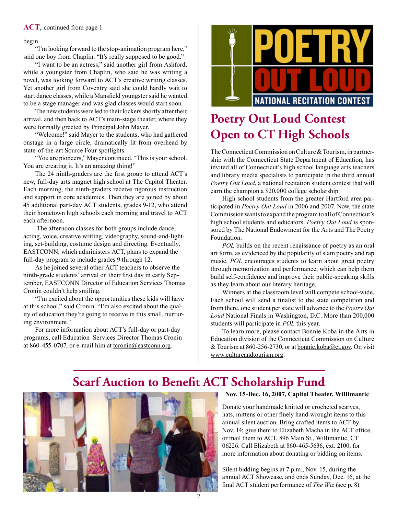#### **ACT**, continued from page 1

#### begin.

"I'm looking forward to the stop-animation program here," said one boy from Chaplin. "It's really supposed to be good."

"I want to be an actress," said another girl from Ashford, while a youngster from Chaplin, who said he was writing a novel, was looking forward to ACT's creative writing classes. Yet another girl from Coventry said she could hardly wait to start dance classes, while a Mansfeld youngster said he wanted to be a stage manager and was glad classes would start soon.

The new students were led to their lockers shortly after their arrival, and then back to ACT's main-stage theater, where they were formally greeted by Principal John Mayer.

"Welcome!" said Mayer to the students, who had gathered onstage in a large circle, dramatically lit from overhead by state-of-the-art Source Four spotlights.

"You are pioneers," Mayer continued. "This is your school. You are creating it. It's an amazing thing!"

The 24 ninth-graders are the frst group to attend ACT's new, full-day arts magnet high school at The Capitol Theater. Each morning, the ninth-graders receive rigorous instruction and support in core academics. Then they are joined by about 45 additional part-day ACT students, grades 9-12, who attend their hometown high schools each morning and travel to ACT each afternoon.

 The afternoon classes for both groups include dance, acting, voice, creative writing, videography, sound-and-lighting, set-building, costume design and directing. Eventually, EASTCONN, which administers ACT, plans to expand the full-day program to include grades 9 through 12.

As he joined several other ACT teachers to observe the ninth-grade students' arrival on their frst day in early September, EASTCONN Director of Education Services Thomas Cronin couldn't help smiling.

"I'm excited about the opportunities these kids will have at this school," said Cronin. "I'm also excited about the quality of education they're going to receive in this small, nurturing environment."

For more information about ACT's full-day or part-day programs, call Education Services Director Thomas Cronin at 860-455-0707, or e-mail him at  $t_{c}$  termin@eastconn.org.



# **Poetry Out Loud Contest Open to CT High Schools**

The Connecticut Commission on Culture & Tourism, in partnership with the Connecticut State Department of Education, has invited all of Connecticut's high school language arts teachers and library media specialists to participate in the third annual *Poetry Out Loud*, a national recitation student contest that will earn the champion a \$20,000 college scholarship.

High school students from the greater Hartford area participated in *Poetry Out Loud* in 2006 and 2007. Now, the state Commission wants to expand the program to all of Connecticut's high school students and educators. *Poetry Out Loud* is sponsored by The National Endowment for the Arts and The Poetry Foundation.

*POL* builds on the recent renaissance of poetry as an oral art form, as evidenced by the popularity of slam poetry and rap music. *POL* encourages students to learn about great poetry through memorization and performance, which can help them build self-confdence and improve their public-speaking skills as they learn about our literary heritage.

Winners at the classroom level will compete school-wide. Each school will send a fnalist to the state competition and from there, one student per state will advance to the *Poetry Out Loud* National Finals in Washington, D.C. More than 200,000 students will participate in *POL* this year.

To learn more, please contact Bonnie Koba in the Arts in Education division of the Connecticut Commission on Culture & Tourism at  $860-256-2730$ , or at bonnie.koba@ct.gov. Or, visit www.cultureandtourism.org.

### **Scarf Auction to Benefit ACT Scholarship Fund**



#### **Nov. 15-Dec. 16, 2007, Capitol Theater, Willimantic**

Donate your handmade knitted or crocheted scarves, hats, mittens or other fnely hand-wrought items to this annual silent auction. Bring crafted items to ACT by Nov. 14; give them to Elizabeth Macha in the ACT office, or mail them to ACT, 896 Main St., Willimantic, CT 06226. Call Elizabeth at 860-465-5636, ext. 2100, for more information about donating or bidding on items.

Silent bidding begins at 7 p.m., Nov. 15, during the annual ACT Showcase, and ends Sunday, Dec. 16, at the fnal ACT student performance of *The Wiz* (see p. 8).